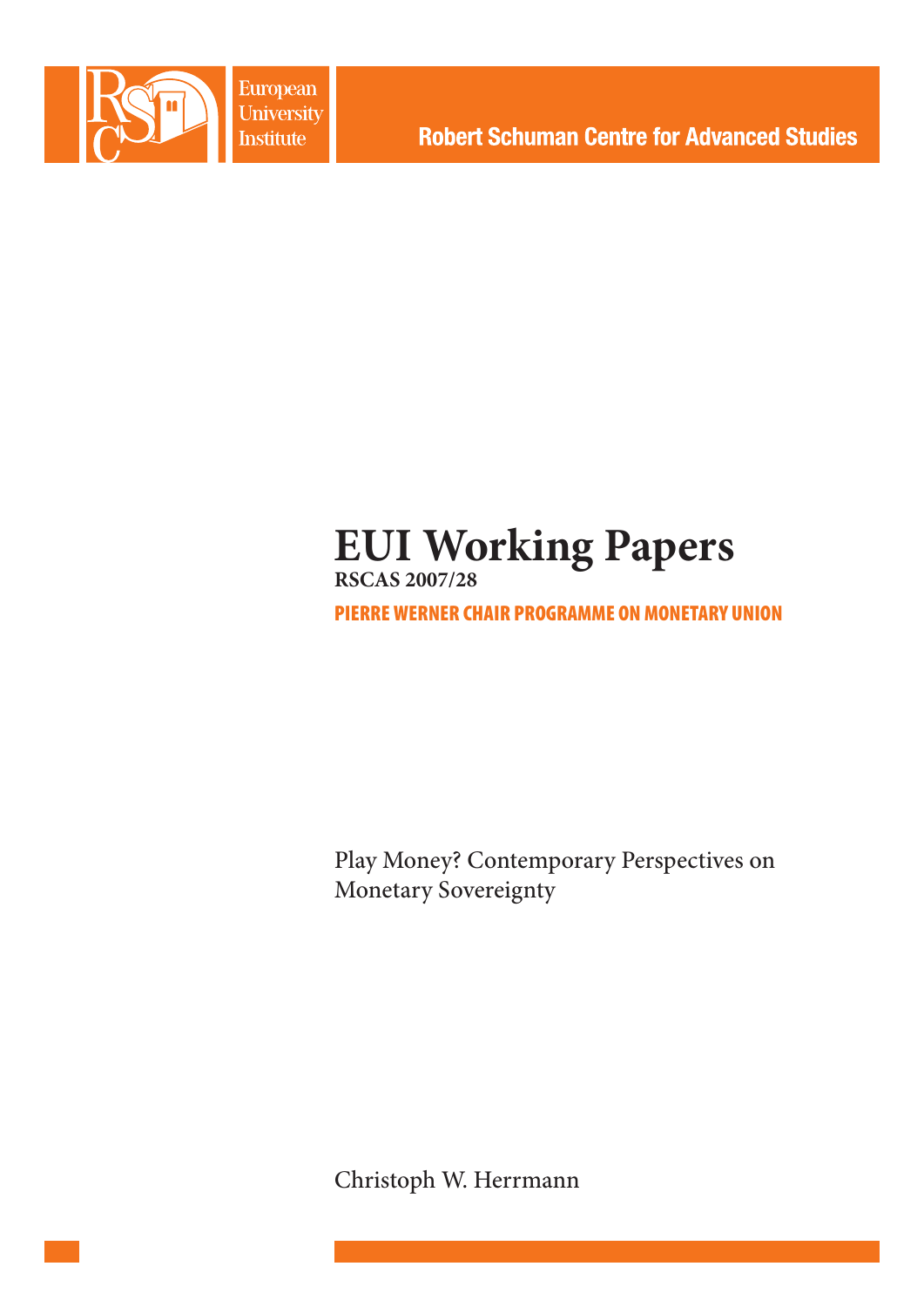

European **University Institute** 

**Robert Schuman Centre for Advanced Studies** 

# **EUI Working Papers RSCAS 2007/28**

PIERRE WERNER CHAIR PROGRAMME ON MONETARY UNION

Play Money? Contemporary Perspectives on Monetary Sovereignty

Christoph W. Herrmann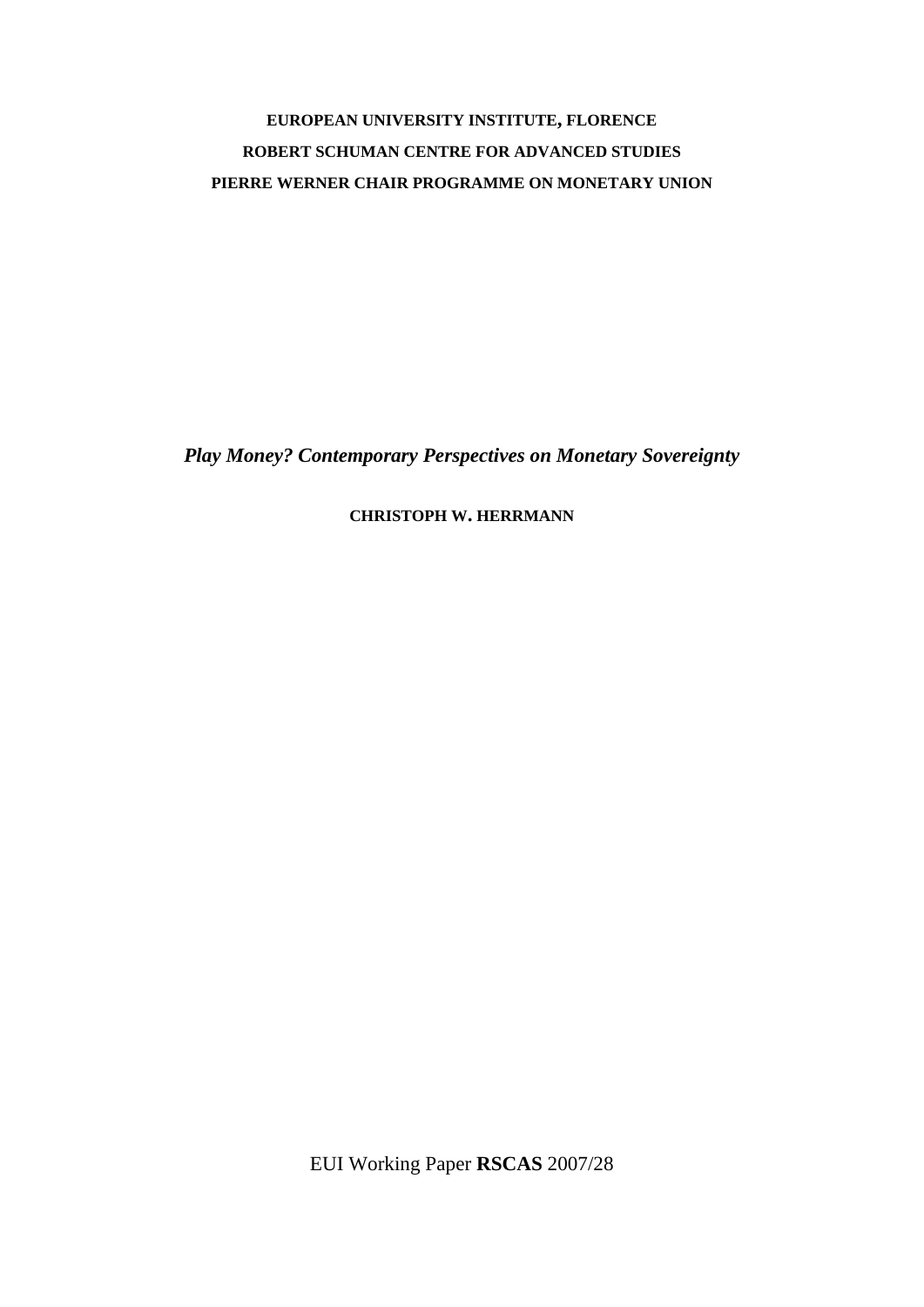# **EUROPEAN UNIVERSITY INSTITUTE, FLORENCE ROBERT SCHUMAN CENTRE FOR ADVANCED STUDIES PIERRE WERNER CHAIR PROGRAMME ON MONETARY UNION**

*Play Money? Contemporary Perspectives on Monetary Sovereignty* 

**CHRISTOPH W. HERRMANN**

EUI Working Paper **RSCAS** 2007/28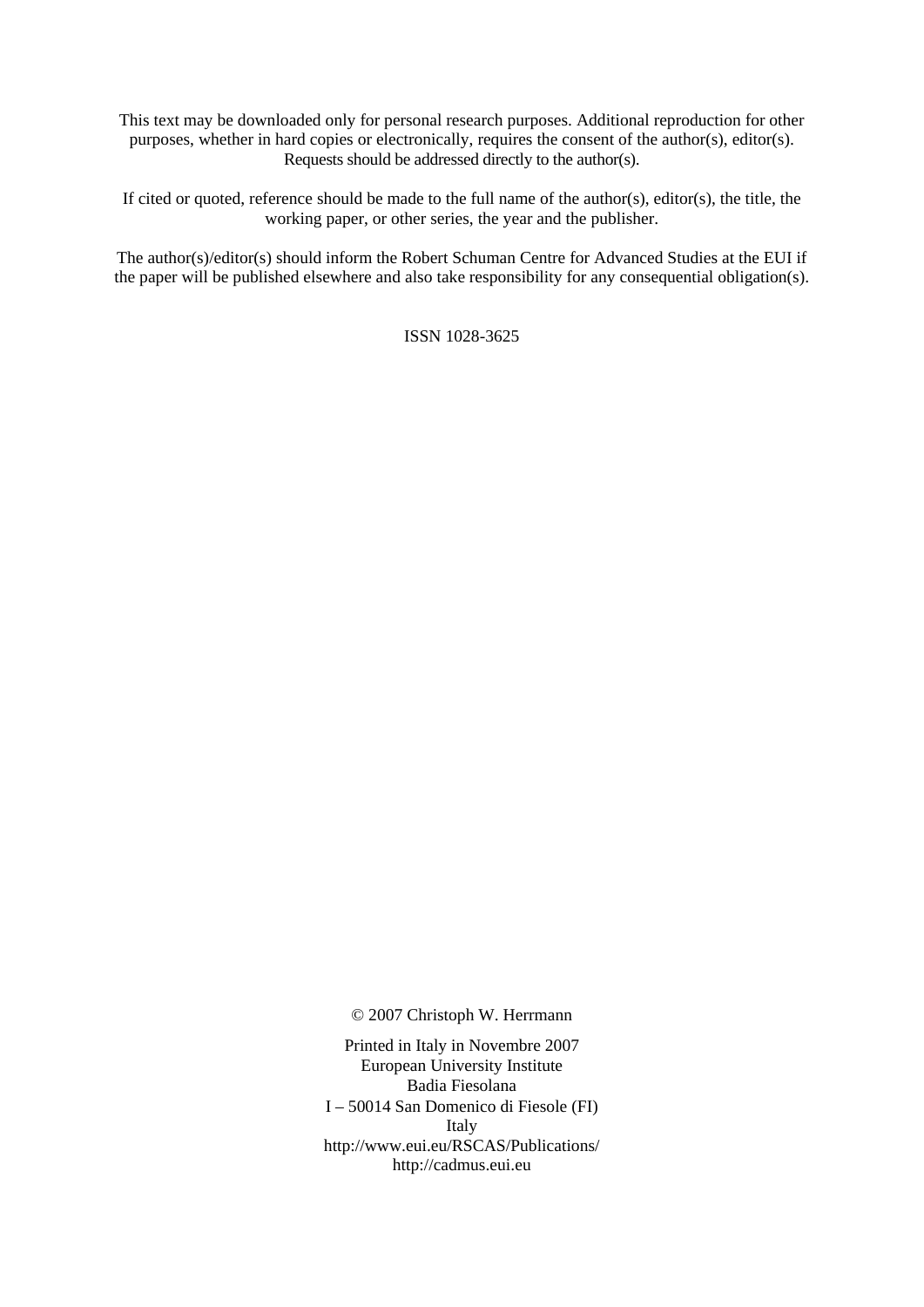This text may be downloaded only for personal research purposes. Additional reproduction for other purposes, whether in hard copies or electronically, requires the consent of the author(s), editor(s). Requests should be addressed directly to the author(s).

If cited or quoted, reference should be made to the full name of the author(s), editor(s), the title, the working paper, or other series, the year and the publisher.

The author(s)/editor(s) should inform the Robert Schuman Centre for Advanced Studies at the EUI if the paper will be published elsewhere and also take responsibility for any consequential obligation(s).

ISSN 1028-3625

© 2007 Christoph W. Herrmann

Printed in Italy in Novembre 2007 European University Institute Badia Fiesolana I – 50014 San Domenico di Fiesole (FI) Italy [http://www.eui.eu/RSCAS/Publications/](http://www.eui.eu/RSCAS/Publications)  <http://cadmus.eui.eu>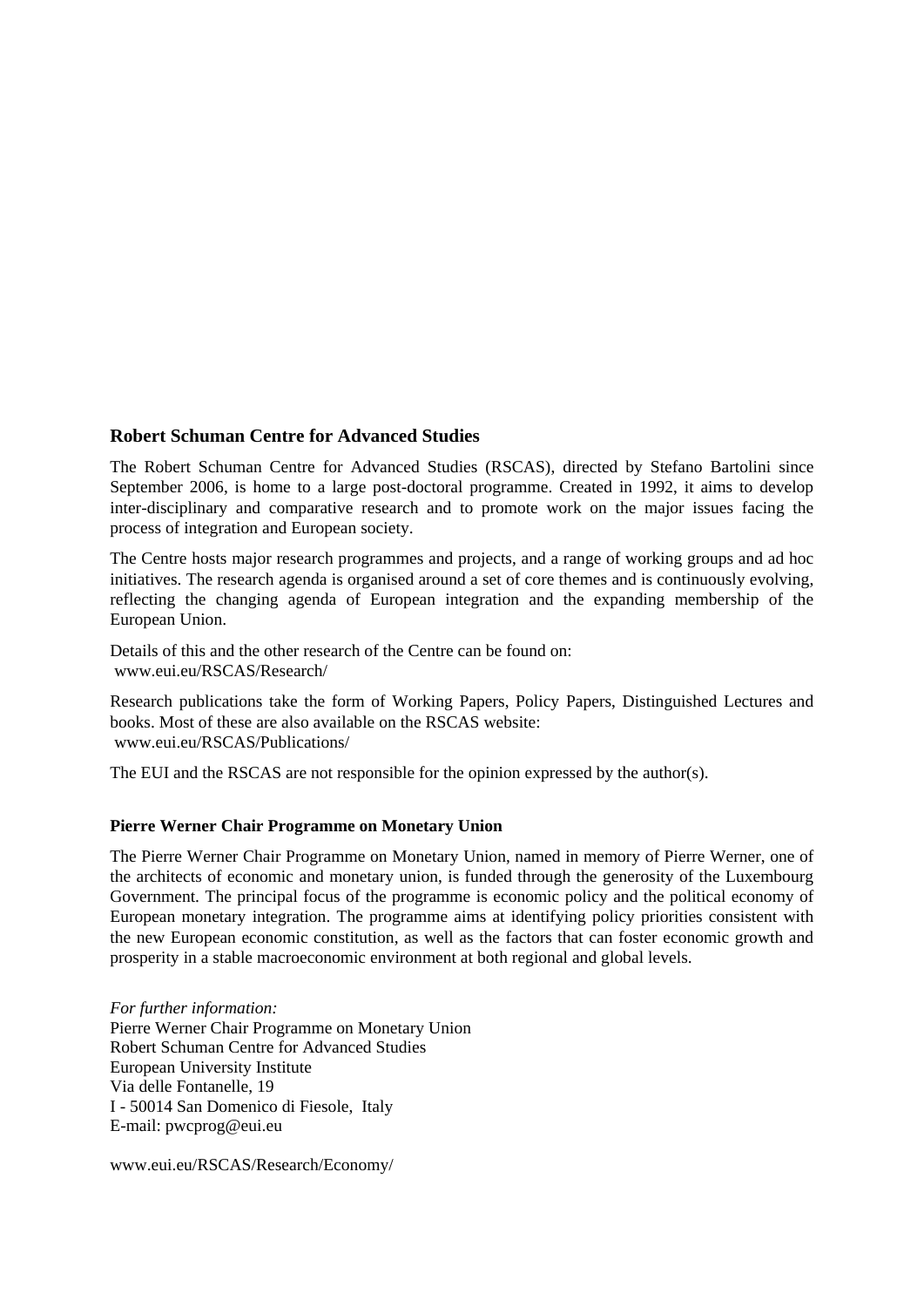# **Robert Schuman Centre for Advanced Studies**

The Robert Schuman Centre for Advanced Studies (RSCAS), directed by Stefano Bartolini since September 2006, is home to a large post-doctoral programme. Created in 1992, it aims to develop inter-disciplinary and comparative research and to promote work on the major issues facing the process of integration and European society.

The Centre hosts major research programmes and projects, and a range of working groups and ad hoc initiatives. The research agenda is organised around a set of core themes and is continuously evolving, reflecting the changing agenda of European integration and the expanding membership of the European Union.

Details of this and the other research of the Centre can be found on: [www.eui.eu/RSCAS/Research/](http://www.eui.eu/RSCAS/Research)

Research publications take the form of Working Papers, Policy Papers, Distinguished Lectures and books. Most of these are also available on the RSCAS website: [www.eui.eu/RSCAS/Publications/](http://www.eui.eu/RSCAS/Publications)

The EUI and the RSCAS are not responsible for the opinion expressed by the author(s).

# **Pierre Werner Chair Programme on Monetary Union**

The Pierre Werner Chair Programme on Monetary Union, named in memory of Pierre Werner, one of the architects of economic and monetary union, is funded through the generosity of the Luxembourg Government. The principal focus of the programme is economic policy and the political economy of European monetary integration. The programme aims at identifying policy priorities consistent with the new European economic constitution, as well as the factors that can foster economic growth and prosperity in a stable macroeconomic environment at both regional and global levels.

*For further information:*  Pierre Werner Chair Programme on Monetary Union Robert Schuman Centre for Advanced Studies European University Institute Via delle Fontanelle, 19 I - 50014 San Domenico di Fiesole, Italy E-mail: [pwcprog@eui.eu](mailto:pwcprog@eui.eu) 

[www.eui.eu/RSCAS/Research/Economy/](http://www.eui.eu/RSCAS/Research/Economy)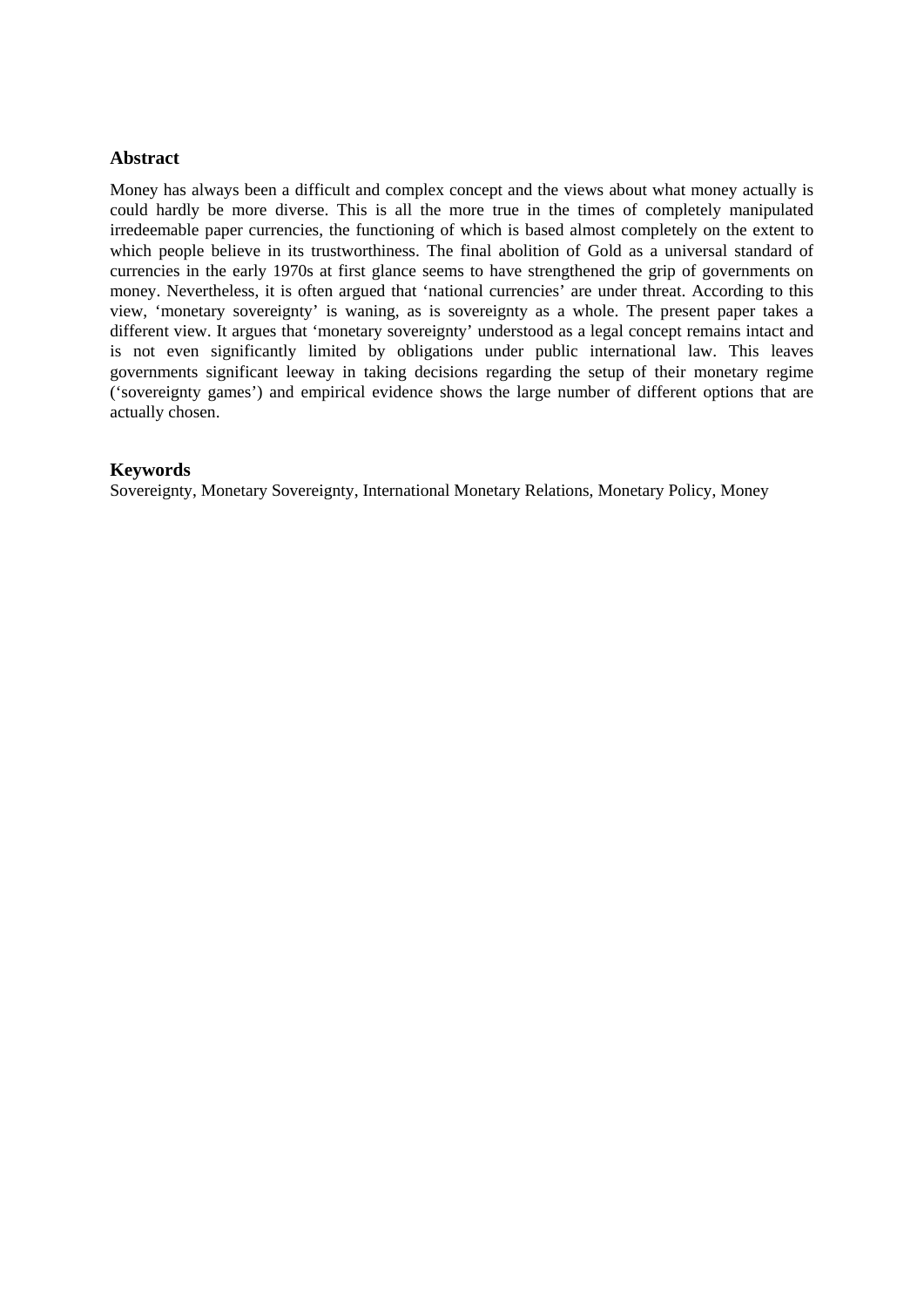# **Abstract**

Money has always been a difficult and complex concept and the views about what money actually is could hardly be more diverse. This is all the more true in the times of completely manipulated irredeemable paper currencies, the functioning of which is based almost completely on the extent to which people believe in its trustworthiness. The final abolition of Gold as a universal standard of currencies in the early 1970s at first glance seems to have strengthened the grip of governments on money. Nevertheless, it is often argued that 'national currencies' are under threat. According to this view, 'monetary sovereignty' is waning, as is sovereignty as a whole. The present paper takes a different view. It argues that 'monetary sovereignty' understood as a legal concept remains intact and is not even significantly limited by obligations under public international law. This leaves governments significant leeway in taking decisions regarding the setup of their monetary regime ('sovereignty games') and empirical evidence shows the large number of different options that are actually chosen.

# **Keywords**

Sovereignty, Monetary Sovereignty, International Monetary Relations, Monetary Policy, Money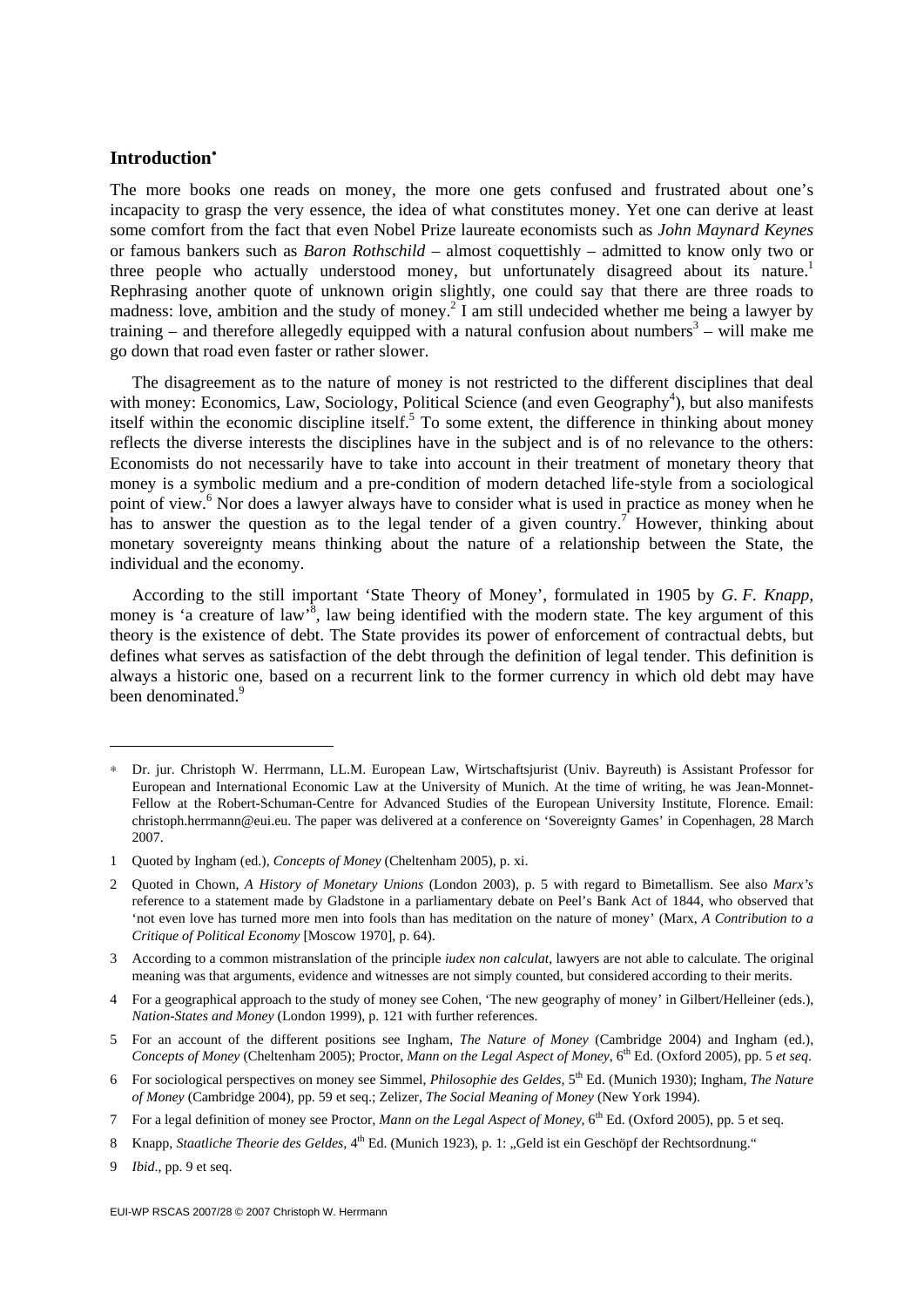## **Introduction**<sup>∗</sup>

The more books one reads on money, the more one gets confused and frustrated about one's incapacity to grasp the very essence, the idea of what constitutes money. Yet one can derive at least some comfort from the fact that even Nobel Prize laureate economists such as *John Maynard Keynes* or famous bankers such as *Baron Rothschild* – almost coquettishly – admitted to know only two or three people who actually understood money, but unfortunately disagreed about its nature.<sup>1</sup> Rephrasing another quote of unknown origin slightly, one could say that there are three roads to madness: love, ambition and the study of money.<sup>2</sup> I am still undecided whether me being a lawyer by training – and therefore allegedly equipped with a natural confusion about numbers<sup>3</sup> – will make me go down that road even faster or rather slower.

The disagreement as to the nature of money is not restricted to the different disciplines that deal with money: Economics, Law, Sociology, Political Science (and even Geography<sup>4</sup>), but also manifests itself within the economic discipline itself.<sup>5</sup> To some extent, the difference in thinking about money reflects the diverse interests the disciplines have in the subject and is of no relevance to the others: Economists do not necessarily have to take into account in their treatment of monetary theory that money is a symbolic medium and a pre-condition of modern detached life-style from a sociological point of view.<sup>6</sup> Nor does a lawyer always have to consider what is used in practice as money when he has to answer the question as to the legal tender of a given country.<sup>7</sup> However, thinking about monetary sovereignty means thinking about the nature of a relationship between the State, the individual and the economy.

According to the still important 'State Theory of Money', formulated in 1905 by *G. F. Knapp*, money is 'a creature of law<sup>3</sup>, law being identified with the modern state. The key argument of this theory is the existence of debt. The State provides its power of enforcement of contractual debts, but defines what serves as satisfaction of the debt through the definition of legal tender. This definition is always a historic one, based on a recurrent link to the former currency in which old debt may have been denominated.<sup>9</sup>

-

<sup>∗</sup> Dr. jur. Christoph W. Herrmann, LL.M. European Law, Wirtschaftsjurist (Univ. Bayreuth) is Assistant Professor for European and International Economic Law at the University of Munich. At the time of writing, he was Jean-Monnet-Fellow at the Robert-Schuman-Centre for Advanced Studies of the European University Institute, Florence. Email: christoph.[herrmann@eui.eu.](mailto:herrmann@eui.eu) The paper was delivered at a conference on 'Sovereignty Games' in Copenhagen, 28 March 2007.

<sup>1</sup> Quoted by Ingham (ed.), *Concepts of Money* (Cheltenham 2005), p. xi.

<sup>2</sup> Quoted in Chown, *A History of Monetary Unions* (London 2003), p. 5 with regard to Bimetallism. See also *Marx's*  reference to a statement made by Gladstone in a parliamentary debate on Peel's Bank Act of 1844, who observed that 'not even love has turned more men into fools than has meditation on the nature of money' (Marx, *A Contribution to a Critique of Political Economy* [Moscow 1970], p. 64).

<sup>3</sup> According to a common mistranslation of the principle *iudex non calculat*, lawyers are not able to calculate. The original meaning was that arguments, evidence and witnesses are not simply counted, but considered according to their merits.

<sup>4</sup> For a geographical approach to the study of money see Cohen, 'The new geography of money' in Gilbert/Helleiner (eds.), *Nation-States and Money* (London 1999), p. 121 with further references.

<sup>5</sup> For an account of the different positions see Ingham, *The Nature of Money* (Cambridge 2004) and Ingham (ed.), *Concepts of Money* (Cheltenham 2005); Proctor, *Mann on the Legal Aspect of Money*, 6th Ed. (Oxford 2005), pp. 5 *et seq*.

<sup>6</sup> For sociological perspectives on money see Simmel, *Philosophie des Geldes*, 5th Ed. (Munich 1930); Ingham, *The Nature of Money* (Cambridge 2004), pp. 59 et seq.; Zelizer, *The Social Meaning of Money* (New York 1994).

<sup>7</sup> For a legal definition of money see Proctor, *Mann on the Legal Aspect of Money*, 6<sup>th</sup> Ed. (Oxford 2005), pp. 5 et seq.

<sup>8</sup> Knapp, *Staatliche Theorie des Geldes*, 4<sup>th</sup> Ed. (Munich 1923), p. 1: "Geld ist ein Geschöpf der Rechtsordnung."

<sup>9</sup> *Ibid*., pp. 9 et seq.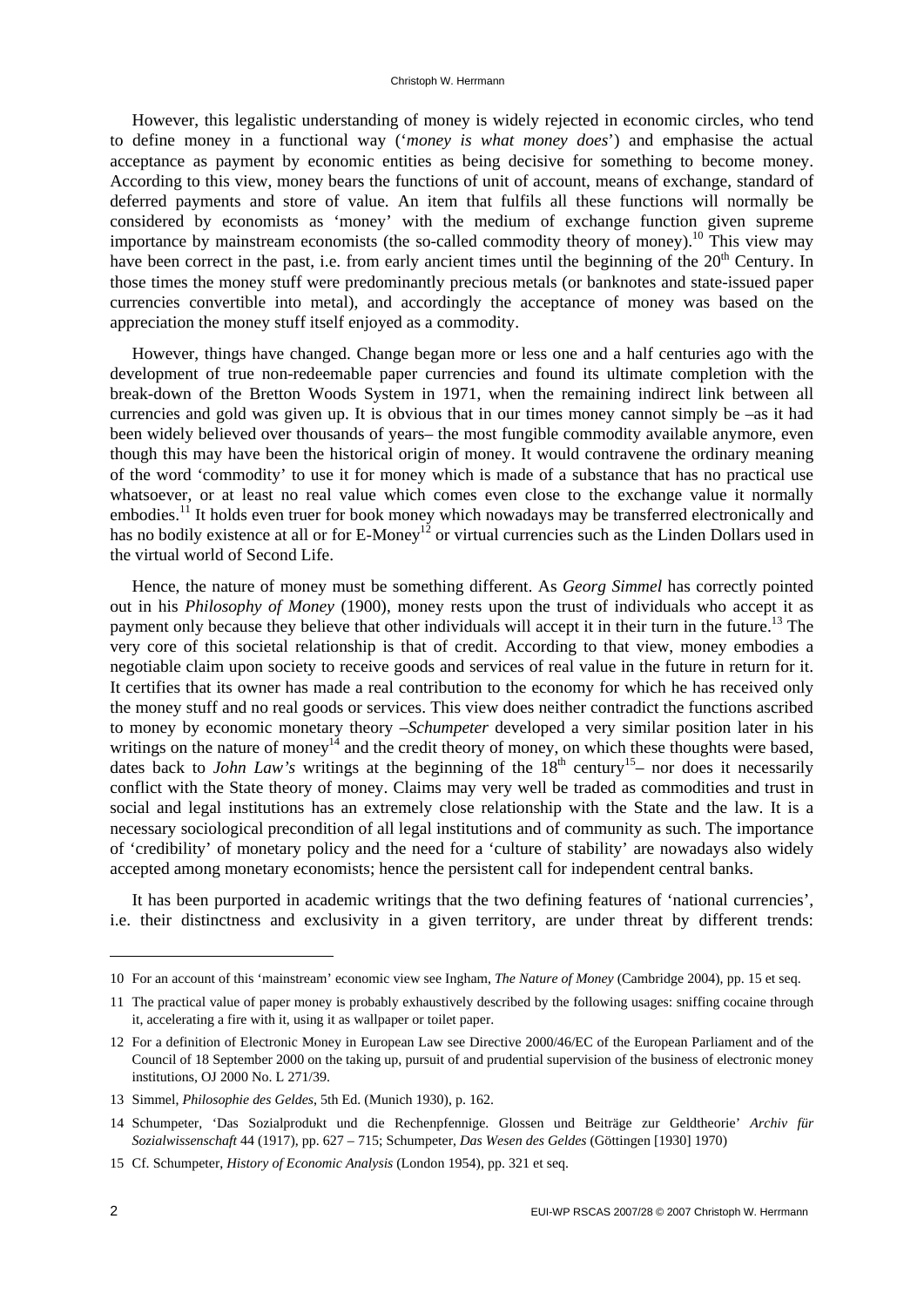However, this legalistic understanding of money is widely rejected in economic circles, who tend to define money in a functional way ('*money is what money does*') and emphasise the actual acceptance as payment by economic entities as being decisive for something to become money. According to this view, money bears the functions of unit of account, means of exchange, standard of deferred payments and store of value. An item that fulfils all these functions will normally be considered by economists as 'money' with the medium of exchange function given supreme importance by mainstream economists (the so-called commodity theory of money).<sup>10</sup> This view may have been correct in the past, i.e. from early ancient times until the beginning of the  $20<sup>th</sup>$  Century. In those times the money stuff were predominantly precious metals (or banknotes and state-issued paper currencies convertible into metal), and accordingly the acceptance of money was based on the appreciation the money stuff itself enjoyed as a commodity.

However, things have changed. Change began more or less one and a half centuries ago with the development of true non-redeemable paper currencies and found its ultimate completion with the break-down of the Bretton Woods System in 1971, when the remaining indirect link between all currencies and gold was given up. It is obvious that in our times money cannot simply be –as it had been widely believed over thousands of years– the most fungible commodity available anymore, even though this may have been the historical origin of money. It would contravene the ordinary meaning of the word 'commodity' to use it for money which is made of a substance that has no practical use whatsoever, or at least no real value which comes even close to the exchange value it normally embodies.<sup>11</sup> It holds even truer for book money which nowadays may be transferred electronically and has no bodily existence at all or for E-Money<sup>12</sup> or virtual currencies such as the Linden Dollars used in the virtual world of Second Life.

Hence, the nature of money must be something different. As *Georg Simmel* has correctly pointed out in his *Philosophy of Money* (1900), money rests upon the trust of individuals who accept it as payment only because they believe that other individuals will accept it in their turn in the future.<sup>13</sup> The very core of this societal relationship is that of credit. According to that view, money embodies a negotiable claim upon society to receive goods and services of real value in the future in return for it. It certifies that its owner has made a real contribution to the economy for which he has received only the money stuff and no real goods or services. This view does neither contradict the functions ascribed to money by economic monetary theory –*Schumpeter* developed a very similar position later in his writings on the nature of money<sup>14</sup> and the credit theory of money, on which these thoughts were based, dates back to *John Law's* writings at the beginning of the  $18<sup>th</sup>$  century<sup>15</sup>– nor does it necessarily conflict with the State theory of money. Claims may very well be traded as commodities and trust in social and legal institutions has an extremely close relationship with the State and the law. It is a necessary sociological precondition of all legal institutions and of community as such. The importance of 'credibility' of monetary policy and the need for a 'culture of stability' are nowadays also widely accepted among monetary economists; hence the persistent call for independent central banks.

It has been purported in academic writings that the two defining features of 'national currencies', i.e. their distinctness and exclusivity in a given territory, are under threat by different trends:

-

<sup>10</sup> For an account of this 'mainstream' economic view see Ingham, *The Nature of Money* (Cambridge 2004), pp. 15 et seq.

<sup>11</sup> The practical value of paper money is probably exhaustively described by the following usages: sniffing cocaine through it, accelerating a fire with it, using it as wallpaper or toilet paper.

<sup>12</sup> For a definition of Electronic Money in European Law see Directive 2000/46/EC of the European Parliament and of the Council of 18 September 2000 on the taking up, pursuit of and prudential supervision of the business of electronic money institutions, OJ 2000 No. L 271/39.

<sup>13</sup> Simmel, *Philosophie des Geldes*, 5th Ed. (Munich 1930), p. 162.

<sup>14</sup> Schumpeter, 'Das Sozialprodukt und die Rechenpfennige. Glossen und Beiträge zur Geldtheorie' *Archiv für Sozialwissenschaft* 44 (1917), pp. 627 – 715; Schumpeter, *Das Wesen des Geldes* (Göttingen [1930] 1970)

<sup>15</sup> Cf. Schumpeter, *History of Economic Analysis* (London 1954), pp. 321 et seq.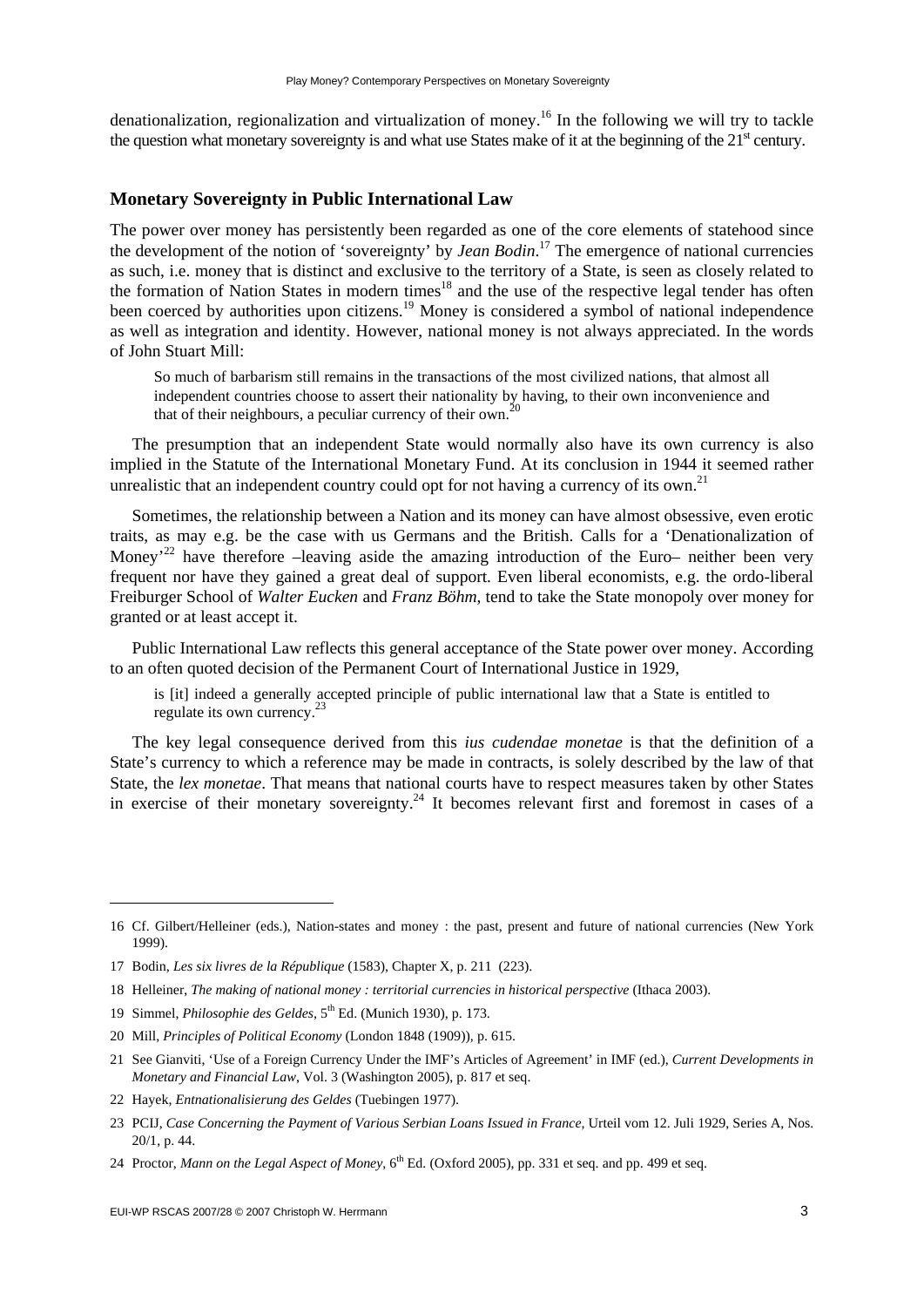denationalization, regionalization and virtualization of money.16 In the following we will try to tackle the question what monetary sovereignty is and what use States make of it at the beginning of the  $21<sup>st</sup>$  century.

#### **Monetary Sovereignty in Public International Law**

The power over money has persistently been regarded as one of the core elements of statehood since the development of the notion of 'sovereignty' by *Jean Bodin*. 17 The emergence of national currencies as such, i.e. money that is distinct and exclusive to the territory of a State, is seen as closely related to the formation of Nation States in modern times<sup>18</sup> and the use of the respective legal tender has often been coerced by authorities upon citizens.<sup>19</sup> Money is considered a symbol of national independence as well as integration and identity. However, national money is not always appreciated. In the words of John Stuart Mill:

So much of barbarism still remains in the transactions of the most civilized nations, that almost all independent countries choose to assert their nationality by having, to their own inconvenience and that of their neighbours, a peculiar currency of their own.<sup>2</sup>

The presumption that an independent State would normally also have its own currency is also implied in the Statute of the International Monetary Fund. At its conclusion in 1944 it seemed rather unrealistic that an independent country could opt for not having a currency of its own.<sup>21</sup>

Sometimes, the relationship between a Nation and its money can have almost obsessive, even erotic traits, as may e.g. be the case with us Germans and the British. Calls for a 'Denationalization of Money<sup>22</sup> have therefore –leaving aside the amazing introduction of the Euro– neither been very frequent nor have they gained a great deal of support. Even liberal economists, e.g. the ordo-liberal Freiburger School of *Walter Eucken* and *Franz Böhm*, tend to take the State monopoly over money for granted or at least accept it.

Public International Law reflects this general acceptance of the State power over money. According to an often quoted decision of the Permanent Court of International Justice in 1929,

is [it] indeed a generally accepted principle of public international law that a State is entitled to regulate its own currency.<sup>23</sup>

The key legal consequence derived from this *ius cudendae monetae* is that the definition of a State's currency to which a reference may be made in contracts, is solely described by the law of that State, the *lex monetae*. That means that national courts have to respect measures taken by other States in exercise of their monetary sovereignty.<sup>24</sup> It becomes relevant first and foremost in cases of a

<sup>16</sup> Cf. Gilbert/Helleiner (eds.), Nation-states and money : the past, present and future of national currencies (New York 1999).

<sup>17</sup> Bodin, *Les six livres de la République* (1583), Chapter X, p. 211 (223).

<sup>18</sup> Helleiner, *The making of national money : territorial currencies in historical perspective* (Ithaca 2003).

<sup>19</sup> Simmel, *Philosophie des Geldes*, 5th Ed. (Munich 1930), p. 173.

<sup>20</sup> Mill, *Principles of Political Economy* (London 1848 (1909)), p. 615.

<sup>21</sup> See Gianviti, 'Use of a Foreign Currency Under the IMF's Articles of Agreement' in IMF (ed.), *Current Developments in Monetary and Financial Law*, Vol. 3 (Washington 2005), p. 817 et seq.

<sup>22</sup> Hayek, *Entnationalisierung des Geldes* (Tuebingen 1977).

<sup>23</sup> PCIJ, *Case Concerning the Payment of Various Serbian Loans Issued in France*, Urteil vom 12. Juli 1929, Series A, Nos. 20/1, p. 44.

<sup>24</sup> Proctor, *Mann on the Legal Aspect of Money*, 6<sup>th</sup> Ed. (Oxford 2005), pp. 331 et seq. and pp. 499 et seq.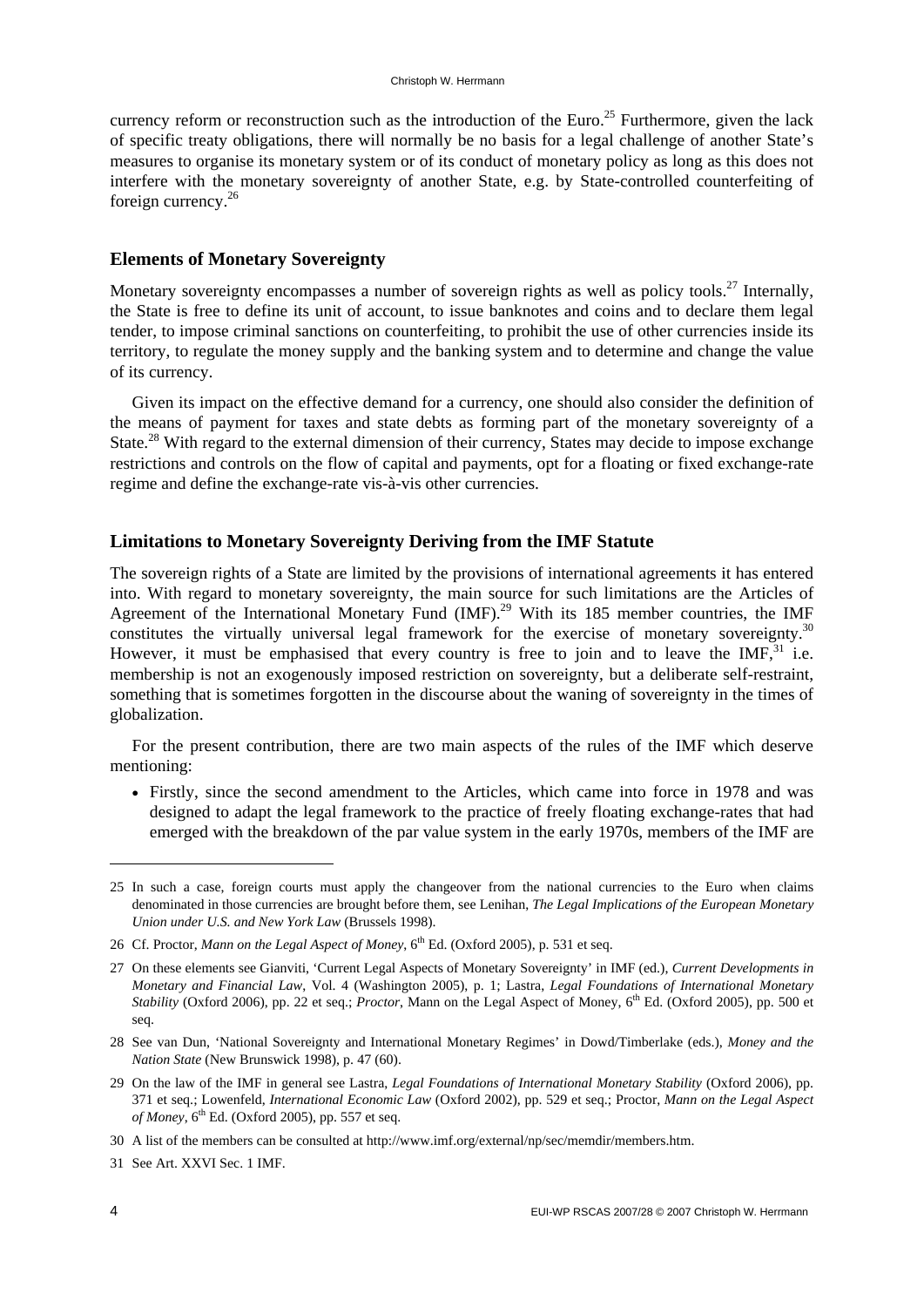currency reform or reconstruction such as the introduction of the Euro.<sup>25</sup> Furthermore, given the lack of specific treaty obligations, there will normally be no basis for a legal challenge of another State's measures to organise its monetary system or of its conduct of monetary policy as long as this does not interfere with the monetary sovereignty of another State, e.g. by State-controlled counterfeiting of foreign currency.26

# **Elements of Monetary Sovereignty**

Monetary sovereignty encompasses a number of sovereign rights as well as policy tools.<sup>27</sup> Internally, the State is free to define its unit of account, to issue banknotes and coins and to declare them legal tender, to impose criminal sanctions on counterfeiting, to prohibit the use of other currencies inside its territory, to regulate the money supply and the banking system and to determine and change the value of its currency.

Given its impact on the effective demand for a currency, one should also consider the definition of the means of payment for taxes and state debts as forming part of the monetary sovereignty of a State.<sup>28</sup> With regard to the external dimension of their currency, States may decide to impose exchange restrictions and controls on the flow of capital and payments, opt for a floating or fixed exchange-rate regime and define the exchange-rate vis-à-vis other currencies.

# **Limitations to Monetary Sovereignty Deriving from the IMF Statute**

The sovereign rights of a State are limited by the provisions of international agreements it has entered into. With regard to monetary sovereignty, the main source for such limitations are the Articles of Agreement of the International Monetary Fund (IMF).<sup>29</sup> With its 185 member countries, the IMF constitutes the virtually universal legal framework for the exercise of monetary sovereignty.<sup>30</sup> However, it must be emphasised that every country is free to join and to leave the IMF, $31$  i.e. membership is not an exogenously imposed restriction on sovereignty, but a deliberate self-restraint, something that is sometimes forgotten in the discourse about the waning of sovereignty in the times of globalization.

For the present contribution, there are two main aspects of the rules of the IMF which deserve mentioning:

• Firstly, since the second amendment to the Articles, which came into force in 1978 and was designed to adapt the legal framework to the practice of freely floating exchange-rates that had emerged with the breakdown of the par value system in the early 1970s, members of the IMF are

<sup>25</sup> In such a case, foreign courts must apply the changeover from the national currencies to the Euro when claims denominated in those currencies are brought before them, see Lenihan, *The Legal Implications of the European Monetary Union under U.S. and New York Law* (Brussels 1998).

<sup>26</sup> Cf. Proctor, *Mann on the Legal Aspect of Money*, 6<sup>th</sup> Ed. (Oxford 2005), p. 531 et seq.

<sup>27</sup> On these elements see Gianviti, 'Current Legal Aspects of Monetary Sovereignty' in IMF (ed.), *Current Developments in Monetary and Financial Law*, Vol. 4 (Washington 2005), p. 1; Lastra, *Legal Foundations of International Monetary Stability* (Oxford 2006), pp. 22 et seq.; *Proctor*, Mann on the Legal Aspect of Money, 6<sup>th</sup> Ed. (Oxford 2005), pp. 500 et seq.

<sup>28</sup> See van Dun, 'National Sovereignty and International Monetary Regimes' in Dowd/Timberlake (eds.), *Money and the Nation State* (New Brunswick 1998), p. 47 (60).

<sup>29</sup> On the law of the IMF in general see Lastra, *Legal Foundations of International Monetary Stability* (Oxford 2006), pp. 371 et seq.; Lowenfeld, *International Economic Law* (Oxford 2002), pp. 529 et seq.; Proctor, *Mann on the Legal Aspect of Money*, 6th Ed. (Oxford 2005), pp. 557 et seq.

<sup>30</sup> A list of the members can be consulted at [http://www.imf.org/external/np/sec/memdir/members.htm.](http://www.imf.org/external/np/sec/memdir/members.htm) 

<sup>31</sup> See Art. XXVI Sec. 1 IMF.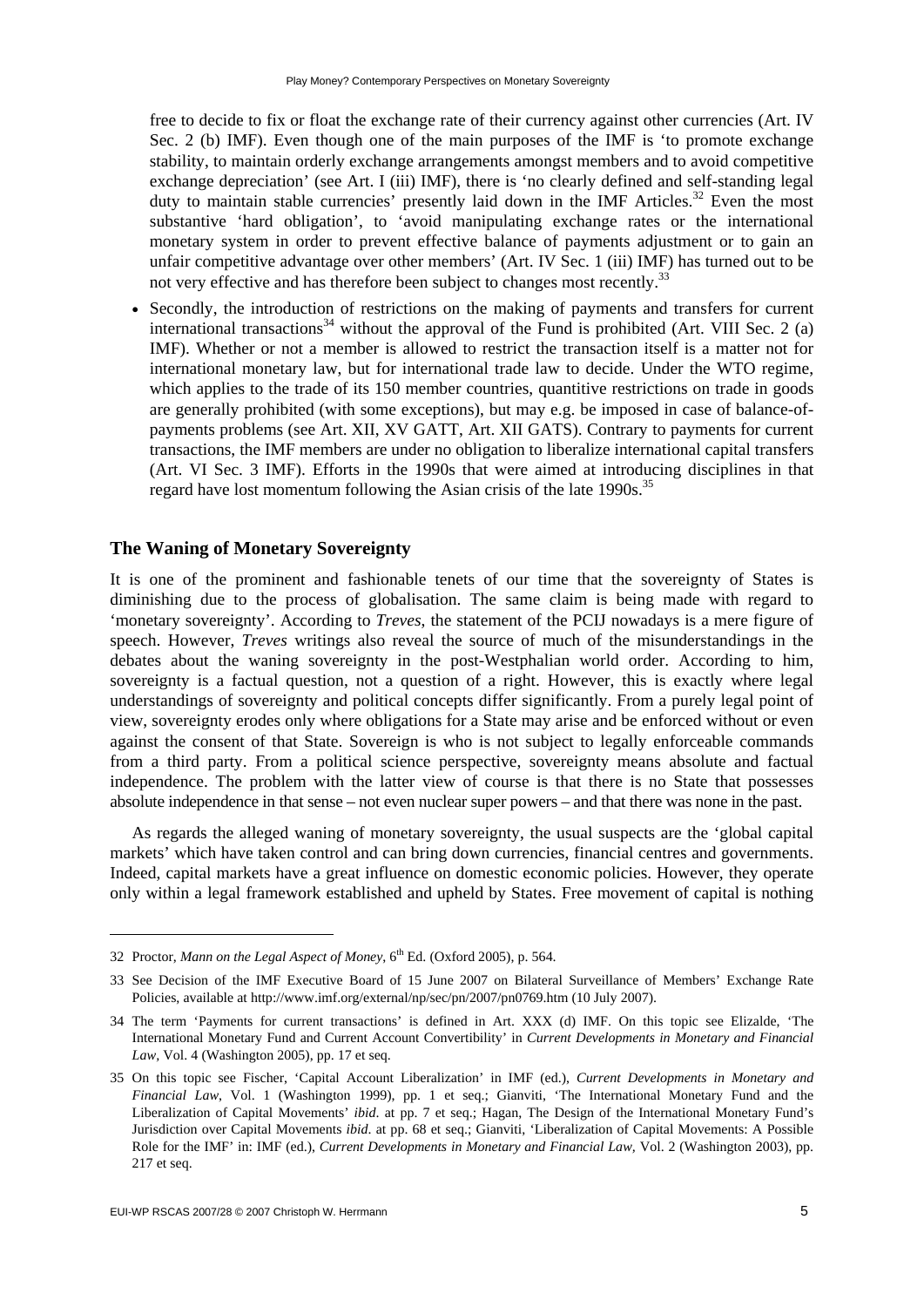free to decide to fix or float the exchange rate of their currency against other currencies (Art. IV Sec. 2 (b) IMF). Even though one of the main purposes of the IMF is 'to promote exchange stability, to maintain orderly exchange arrangements amongst members and to avoid competitive exchange depreciation' (see Art. I (iii) IMF), there is 'no clearly defined and self-standing legal duty to maintain stable currencies' presently laid down in the IMF Articles.<sup>32</sup> Even the most substantive 'hard obligation', to 'avoid manipulating exchange rates or the international monetary system in order to prevent effective balance of payments adjustment or to gain an unfair competitive advantage over other members' (Art. IV Sec. 1 (iii) IMF) has turned out to be not very effective and has therefore been subject to changes most recently.<sup>33</sup>

• Secondly, the introduction of restrictions on the making of payments and transfers for current international transactions<sup>34</sup> without the approval of the Fund is prohibited (Art. VIII Sec. 2 (a) IMF). Whether or not a member is allowed to restrict the transaction itself is a matter not for international monetary law, but for international trade law to decide. Under the WTO regime, which applies to the trade of its 150 member countries, quantitive restrictions on trade in goods are generally prohibited (with some exceptions), but may e.g. be imposed in case of balance-ofpayments problems (see Art. XII, XV GATT, Art. XII GATS). Contrary to payments for current transactions, the IMF members are under no obligation to liberalize international capital transfers (Art. VI Sec. 3 IMF). Efforts in the 1990s that were aimed at introducing disciplines in that regard have lost momentum following the Asian crisis of the late 1990s.<sup>35</sup>

# **The Waning of Monetary Sovereignty**

It is one of the prominent and fashionable tenets of our time that the sovereignty of States is diminishing due to the process of globalisation. The same claim is being made with regard to 'monetary sovereignty'. According to *Treves*, the statement of the PCIJ nowadays is a mere figure of speech. However, *Treves* writings also reveal the source of much of the misunderstandings in the debates about the waning sovereignty in the post-Westphalian world order. According to him, sovereignty is a factual question, not a question of a right. However, this is exactly where legal understandings of sovereignty and political concepts differ significantly. From a purely legal point of view, sovereignty erodes only where obligations for a State may arise and be enforced without or even against the consent of that State. Sovereign is who is not subject to legally enforceable commands from a third party. From a political science perspective, sovereignty means absolute and factual independence. The problem with the latter view of course is that there is no State that possesses absolute independence in that sense – not even nuclear super powers – and that there was none in the past.

As regards the alleged waning of monetary sovereignty, the usual suspects are the 'global capital markets' which have taken control and can bring down currencies, financial centres and governments. Indeed, capital markets have a great influence on domestic economic policies. However, they operate only within a legal framework established and upheld by States. Free movement of capital is nothing

<sup>32</sup> Proctor, *Mann on the Legal Aspect of Money*,  $6<sup>th</sup>$  Ed. (Oxford 2005), p. 564.

<sup>33</sup> See Decision of the IMF Executive Board of 15 June 2007 on Bilateral Surveillance of Members' Exchange Rate Policies, available at [http://www.imf.org/external/np/sec/pn/2007/pn0769.htm \(1](http://www.imf.org/external/np/sec/pn/2007/pn0769.htm)0 July 2007).

<sup>34</sup> The term 'Payments for current transactions' is defined in Art. XXX (d) IMF. On this topic see Elizalde, 'The International Monetary Fund and Current Account Convertibility' in *Current Developments in Monetary and Financial Law,* Vol. 4 (Washington 2005), pp. 17 et seq.

<sup>35</sup> On this topic see Fischer, 'Capital Account Liberalization' in IMF (ed.), *Current Developments in Monetary and Financial Law*, Vol. 1 (Washington 1999), pp. 1 et seq.; Gianviti, 'The International Monetary Fund and the Liberalization of Capital Movements' *ibid*. at pp. 7 et seq.; Hagan, The Design of the International Monetary Fund's Jurisdiction over Capital Movements *ibid*. at pp. 68 et seq.; Gianviti, 'Liberalization of Capital Movements: A Possible Role for the IMF' in: IMF (ed.), *Current Developments in Monetary and Financial Law,* Vol. 2 (Washington 2003), pp. 217 et seq.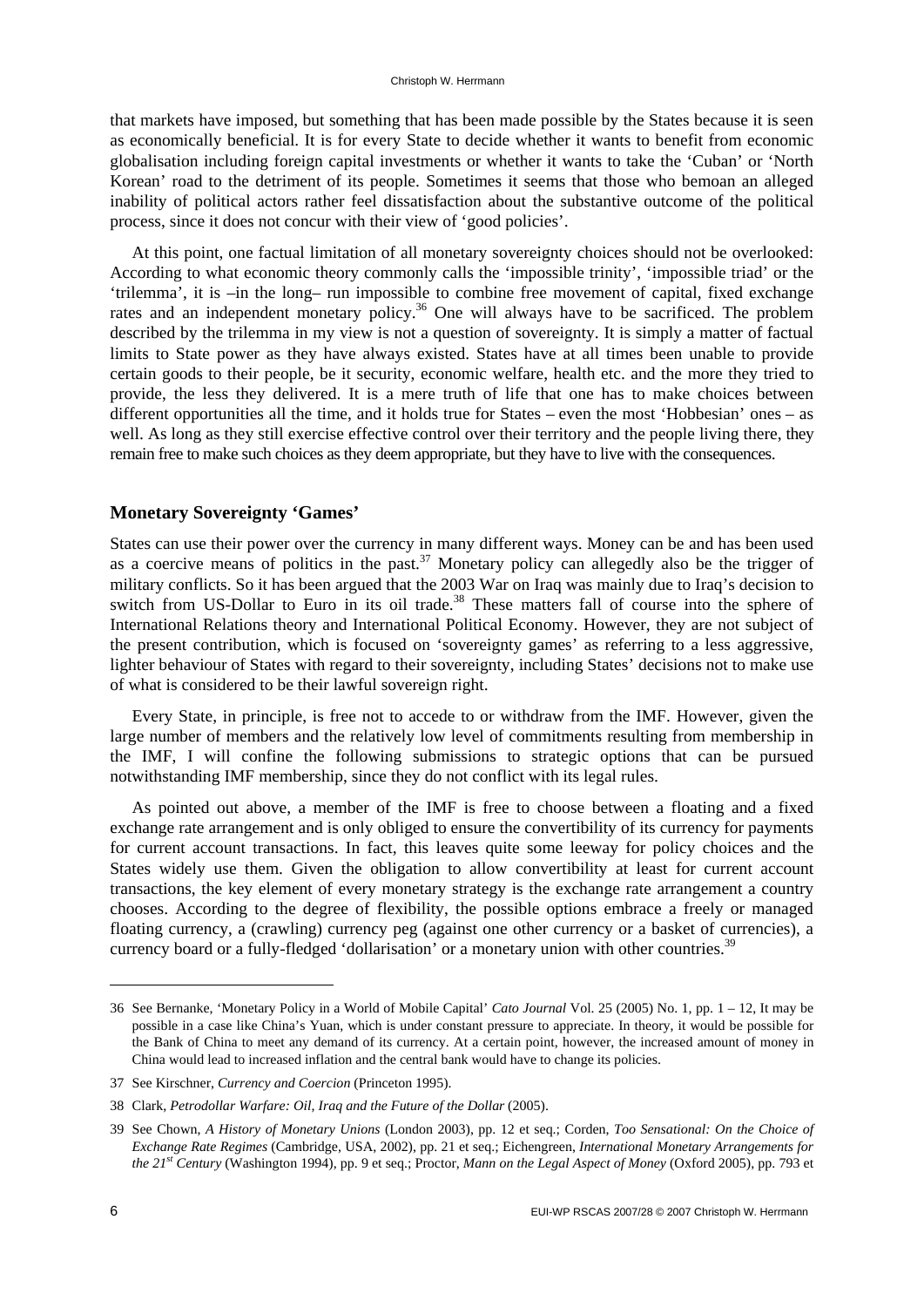that markets have imposed, but something that has been made possible by the States because it is seen as economically beneficial. It is for every State to decide whether it wants to benefit from economic globalisation including foreign capital investments or whether it wants to take the 'Cuban' or 'North Korean' road to the detriment of its people. Sometimes it seems that those who bemoan an alleged inability of political actors rather feel dissatisfaction about the substantive outcome of the political process, since it does not concur with their view of 'good policies'.

At this point, one factual limitation of all monetary sovereignty choices should not be overlooked: According to what economic theory commonly calls the 'impossible trinity', 'impossible triad' or the 'trilemma', it is –in the long– run impossible to combine free movement of capital, fixed exchange rates and an independent monetary policy.<sup>36</sup> One will always have to be sacrificed. The problem described by the trilemma in my view is not a question of sovereignty. It is simply a matter of factual limits to State power as they have always existed. States have at all times been unable to provide certain goods to their people, be it security, economic welfare, health etc. and the more they tried to provide, the less they delivered. It is a mere truth of life that one has to make choices between different opportunities all the time, and it holds true for States – even the most 'Hobbesian' ones – as well. As long as they still exercise effective control over their territory and the people living there, they remain free to make such choices as they deem appropriate, but they have to live with the consequences.

#### **Monetary Sovereignty 'Games'**

States can use their power over the currency in many different ways. Money can be and has been used as a coercive means of politics in the past.<sup>37</sup> Monetary policy can allegedly also be the trigger of military conflicts. So it has been argued that the 2003 War on Iraq was mainly due to Iraq's decision to switch from US-Dollar to Euro in its oil trade.<sup>38</sup> These matters fall of course into the sphere of International Relations theory and International Political Economy. However, they are not subject of the present contribution, which is focused on 'sovereignty games' as referring to a less aggressive, lighter behaviour of States with regard to their sovereignty, including States' decisions not to make use of what is considered to be their lawful sovereign right.

Every State, in principle, is free not to accede to or withdraw from the IMF. However, given the large number of members and the relatively low level of commitments resulting from membership in the IMF, I will confine the following submissions to strategic options that can be pursued notwithstanding IMF membership, since they do not conflict with its legal rules.

As pointed out above, a member of the IMF is free to choose between a floating and a fixed exchange rate arrangement and is only obliged to ensure the convertibility of its currency for payments for current account transactions. In fact, this leaves quite some leeway for policy choices and the States widely use them. Given the obligation to allow convertibility at least for current account transactions, the key element of every monetary strategy is the exchange rate arrangement a country chooses. According to the degree of flexibility, the possible options embrace a freely or managed floating currency, a (crawling) currency peg (against one other currency or a basket of currencies), a currency board or a fully-fledged 'dollarisation' or a monetary union with other countries.<sup>39</sup>

<sup>36</sup> See Bernanke, 'Monetary Policy in a World of Mobile Capital' *Cato Journal* Vol. 25 (2005) No. 1, pp. 1 – 12, It may be possible in a case like China's Yuan, which is under constant pressure to appreciate. In theory, it would be possible for the Bank of China to meet any demand of its currency. At a certain point, however, the increased amount of money in China would lead to increased inflation and the central bank would have to change its policies.

<sup>37</sup> See Kirschner, *Currency and Coercion* (Princeton 1995).

<sup>38</sup> Clark, *Petrodollar Warfare: Oil, Iraq and the Future of the Dollar* (2005).

<sup>39</sup> See Chown, *A History of Monetary Unions* (London 2003), pp. 12 et seq.; Corden, *Too Sensational: On the Choice of Exchange Rate Regimes* (Cambridge, USA, 2002), pp. 21 et seq.; Eichengreen, *International Monetary Arrangements for the 21st Century* (Washington 1994), pp. 9 et seq.; Proctor, *Mann on the Legal Aspect of Money* (Oxford 2005), pp. 793 et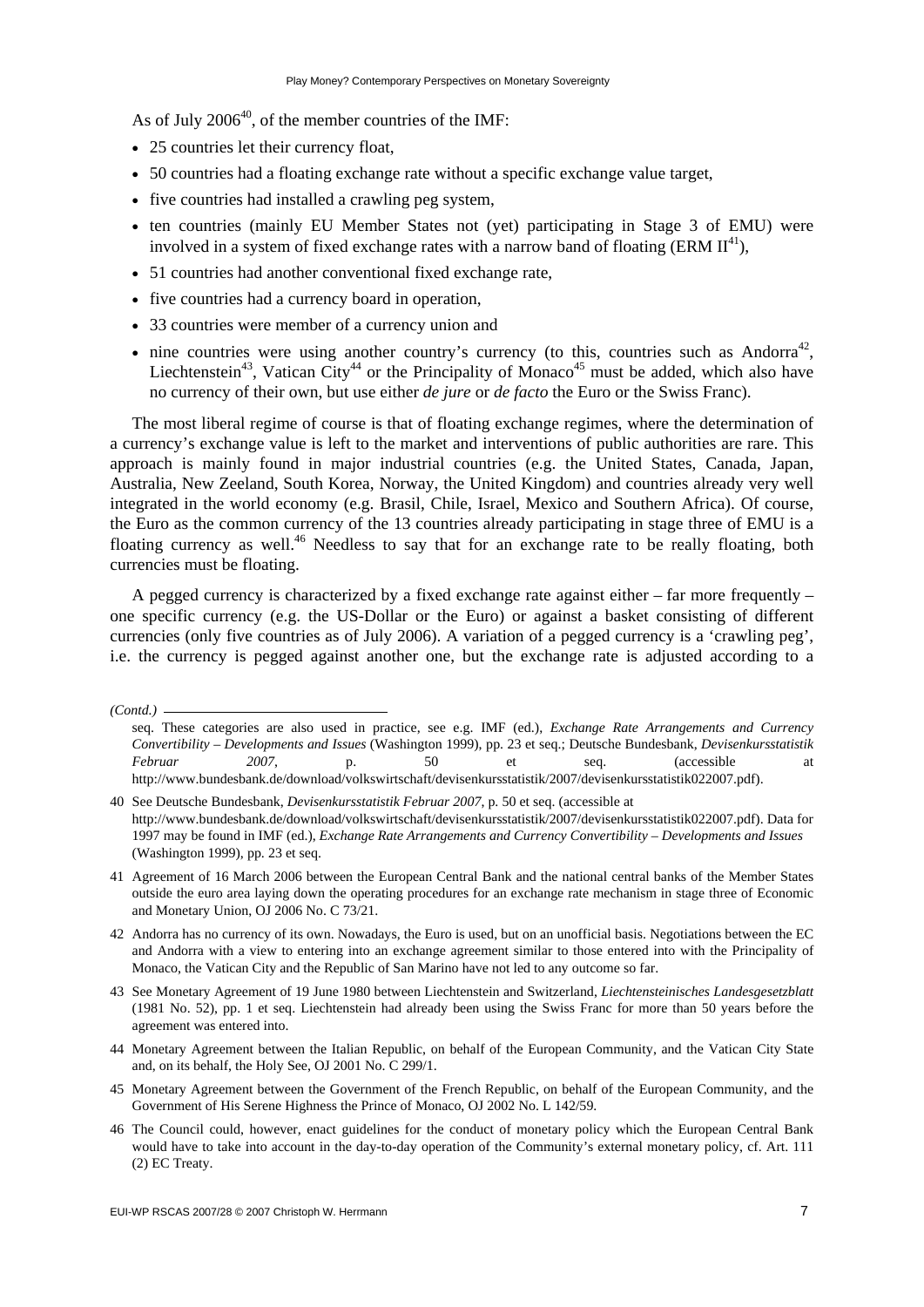As of July  $2006^{40}$ , of the member countries of the IMF:

- 25 countries let their currency float,
- 50 countries had a floating exchange rate without a specific exchange value target,
- five countries had installed a crawling peg system.
- ten countries (mainly EU Member States not (yet) participating in Stage 3 of EMU) were involved in a system of fixed exchange rates with a narrow band of floating (ERM  $II<sup>41</sup>$ ),
- 51 countries had another conventional fixed exchange rate,
- five countries had a currency board in operation,
- 33 countries were member of a currency union and
- nine countries were using another country's currency (to this, countries such as Andorra<sup>42</sup>, Liechtenstein<sup>43</sup>, Vatican City<sup>44</sup> or the Principality of Monaco<sup>45</sup> must be added, which also have no currency of their own, but use either *de jure* or *de facto* the Euro or the Swiss Franc).

The most liberal regime of course is that of floating exchange regimes, where the determination of a currency's exchange value is left to the market and interventions of public authorities are rare. This approach is mainly found in major industrial countries (e.g. the United States, Canada, Japan, Australia, New Zeeland, South Korea, Norway, the United Kingdom) and countries already very well integrated in the world economy (e.g. Brasil, Chile, Israel, Mexico and Southern Africa). Of course, the Euro as the common currency of the 13 countries already participating in stage three of EMU is a floating currency as well.<sup>46</sup> Needless to say that for an exchange rate to be really floating, both currencies must be floating.

A pegged currency is characterized by a fixed exchange rate against either  $-$  far more frequently  $$ one specific currency (e.g. the US-Dollar or the Euro) or against a basket consisting of different currencies (only five countries as of July 2006). A variation of a pegged currency is a 'crawling peg', i.e. the currency is pegged against another one, but the exchange rate is adjusted according to a

*(Contd.)* 

- 44 Monetary Agreement between the Italian Republic, on behalf of the European Community, and the Vatican City State and, on its behalf, the Holy See, OJ 2001 No. C 299/1.
- 45 Monetary Agreement between the Government of the French Republic, on behalf of the European Community, and the Government of His Serene Highness the Prince of Monaco, OJ 2002 No. L 142/59.
- 46 The Council could, however, enact guidelines for the conduct of monetary policy which the European Central Bank would have to take into account in the day-to-day operation of the Community's external monetary policy, cf. Art. 111 (2) EC Treaty.

seq. These categories are also used in practice, see e.g. IMF (ed.), *Exchange Rate Arrangements and Currency Convertibility – Developments and Issues* (Washington 1999), pp. 23 et seq.; Deutsche Bundesbank, *Devisenkursstatistik Februar 2007*, p. 50 et seq. (accessible at [http://www.bundesbank.de/download/volkswirtschaft/devisenkursstatistik/2007/devisenkursstatistik022007.pd](http://www.bundesbank.de/download/volkswirtschaft/devisenkursstatistik/2007/devisenkursstatistik022007.pdf)f).

<sup>40</sup> See Deutsche Bundesbank, *Devisenkursstatistik Februar 2007*, p. 50 et seq. (accessible at [http://www.bundesbank.de/download/volkswirtschaft/devisenkursstatistik/2007/devisenkursstatistik022007.pd](http://www.bundesbank.de/download/volkswirtschaft/devisenkursstatistik/2007/devisenkursstatistik022007.pdf)f). Data for 1997 may be found in IMF (ed.), *Exchange Rate Arrangements and Currency Convertibility – Developments and Issues* (Washington 1999), pp. 23 et seq.

<sup>41</sup> Agreement of 16 March 2006 between the European Central Bank and the national central banks of the Member States outside the euro area laying down the operating procedures for an exchange rate mechanism in stage three of Economic and Monetary Union, OJ 2006 No. C 73/21.

<sup>42</sup> Andorra has no currency of its own. Nowadays, the Euro is used, but on an unofficial basis. Negotiations between the EC and Andorra with a view to entering into an exchange agreement similar to those entered into with the Principality of Monaco, the Vatican City and the Republic of San Marino have not led to any outcome so far.

<sup>43</sup> See Monetary Agreement of 19 June 1980 between Liechtenstein and Switzerland, *Liechtensteinisches Landesgesetzblatt* (1981 No. 52), pp. 1 et seq. Liechtenstein had already been using the Swiss Franc for more than 50 years before the agreement was entered into.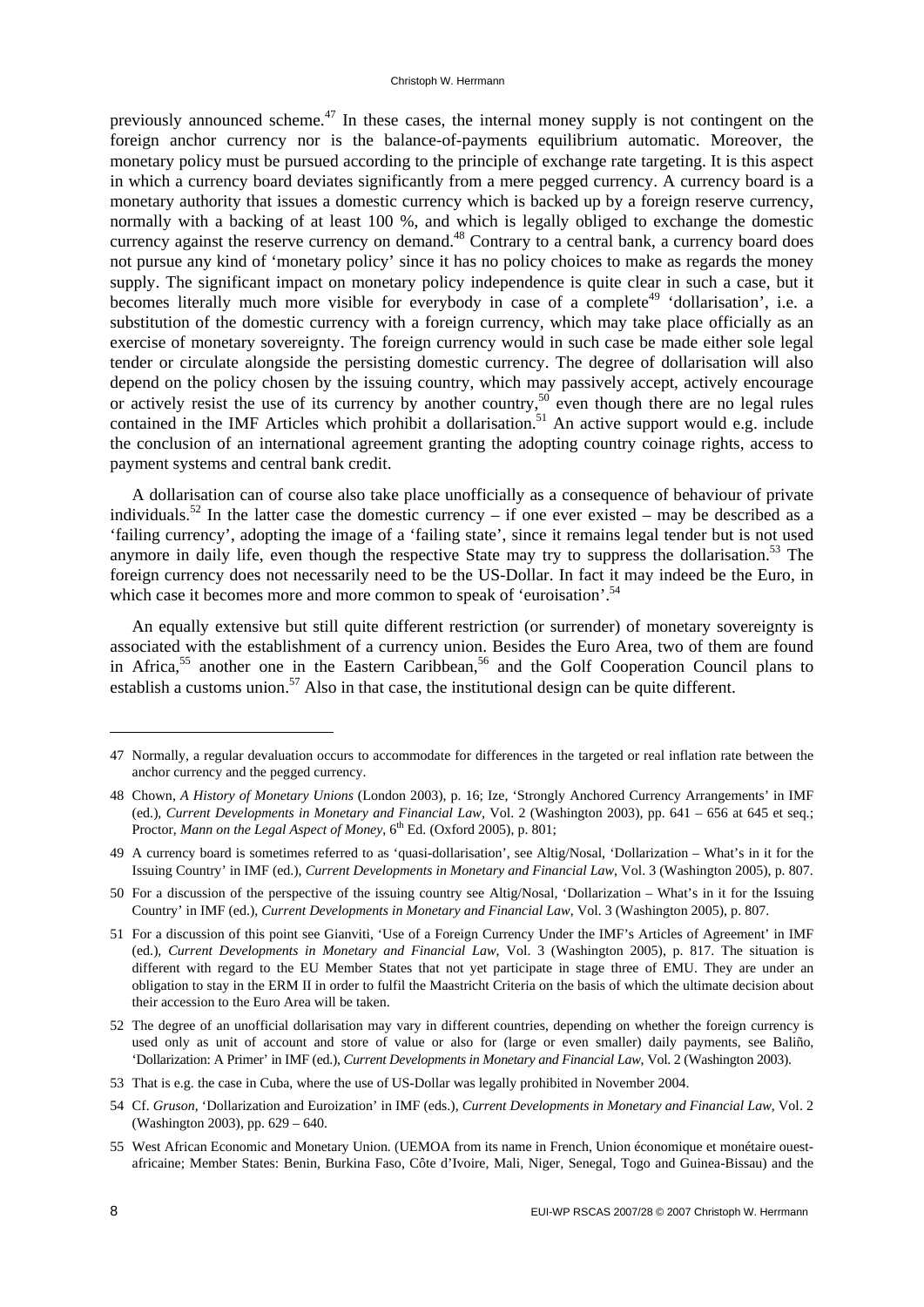previously announced scheme.<sup>47</sup> In these cases, the internal money supply is not contingent on the foreign anchor currency nor is the balance-of-payments equilibrium automatic. Moreover, the monetary policy must be pursued according to the principle of exchange rate targeting. It is this aspect in which a currency board deviates significantly from a mere pegged currency. A currency board is a monetary authority that issues a domestic currency which is backed up by a foreign reserve currency, normally with a backing of at least 100 %, and which is legally obliged to exchange the domestic currency against the reserve currency on demand.<sup>48</sup> Contrary to a central bank, a currency board does not pursue any kind of 'monetary policy' since it has no policy choices to make as regards the money supply. The significant impact on monetary policy independence is quite clear in such a case, but it becomes literally much more visible for everybody in case of a complete<sup>49</sup> 'dollarisation', i.e. a substitution of the domestic currency with a foreign currency, which may take place officially as an exercise of monetary sovereignty. The foreign currency would in such case be made either sole legal tender or circulate alongside the persisting domestic currency. The degree of dollarisation will also depend on the policy chosen by the issuing country, which may passively accept, actively encourage or actively resist the use of its currency by another country,<sup>50</sup> even though there are no legal rules contained in the IMF Articles which prohibit a dollarisation.<sup>51</sup> An active support would e.g. include the conclusion of an international agreement granting the adopting country coinage rights, access to payment systems and central bank credit.

A dollarisation can of course also take place unofficially as a consequence of behaviour of private individuals.<sup>52</sup> In the latter case the domestic currency – if one ever existed – may be described as a 'failing currency', adopting the image of a 'failing state', since it remains legal tender but is not used anymore in daily life, even though the respective State may try to suppress the dollarisation.<sup>53</sup> The foreign currency does not necessarily need to be the US-Dollar. In fact it may indeed be the Euro, in which case it becomes more and more common to speak of 'euroisation'.<sup>54</sup>

An equally extensive but still quite different restriction (or surrender) of monetary sovereignty is associated with the establishment of a currency union. Besides the Euro Area, two of them are found in Africa,<sup>55</sup> another one in the Eastern Caribbean,<sup>56</sup> and the Golf Cooperation Council plans to establish a customs union.<sup>57</sup> Also in that case, the institutional design can be quite different.

-

<sup>47</sup> Normally, a regular devaluation occurs to accommodate for differences in the targeted or real inflation rate between the anchor currency and the pegged currency.

<sup>48</sup> Chown, *A History of Monetary Unions* (London 2003), p. 16; Ize, 'Strongly Anchored Currency Arrangements' in IMF (ed.), *Current Developments in Monetary and Financial Law,* Vol. 2 (Washington 2003), pp. 641 – 656 at 645 et seq.; Proctor, *Mann on the Legal Aspect of Money*, 6<sup>th</sup> Ed. (Oxford 2005), p. 801;

<sup>49</sup> A currency board is sometimes referred to as 'quasi-dollarisation', see Altig/Nosal, 'Dollarization – What's in it for the Issuing Country' in IMF (ed.), *Current Developments in Monetary and Financial Law*, Vol. 3 (Washington 2005), p. 807.

<sup>50</sup> For a discussion of the perspective of the issuing country see Altig/Nosal, 'Dollarization – What's in it for the Issuing Country' in IMF (ed.), *Current Developments in Monetary and Financial Law*, Vol. 3 (Washington 2005), p. 807.

<sup>51</sup> For a discussion of this point see Gianviti, 'Use of a Foreign Currency Under the IMF's Articles of Agreement' in IMF (ed.), *Current Developments in Monetary and Financial Law*, Vol. 3 (Washington 2005), p. 817. The situation is different with regard to the EU Member States that not yet participate in stage three of EMU. They are under an obligation to stay in the ERM II in order to fulfil the Maastricht Criteria on the basis of which the ultimate decision about their accession to the Euro Area will be taken.

<sup>52</sup> The degree of an unofficial dollarisation may vary in different countries, depending on whether the foreign currency is used only as unit of account and store of value or also for (large or even smaller) daily payments, see Baliño, 'Dollarization: A Primer' in IMF (ed.), *Current Developments in Monetary and Financial Law*, Vol. 2 (Washington 2003).

<sup>53</sup> That is e.g. the case in Cuba, where the use of US-Dollar was legally prohibited in November 2004.

<sup>54</sup> Cf. *Gruson*, 'Dollarization and Euroization' in IMF (eds.), *Current Developments in Monetary and Financial Law*, Vol. 2 (Washington 2003), pp. 629 – 640.

<sup>55</sup> West African Economic and Monetary Union. (UEMOA from its name in French, Union économique et monétaire ouestafricaine; Member States: Benin, Burkina Faso, Côte d'Ivoire, Mali, Niger, Senegal, Togo and Guinea-Bissau) and the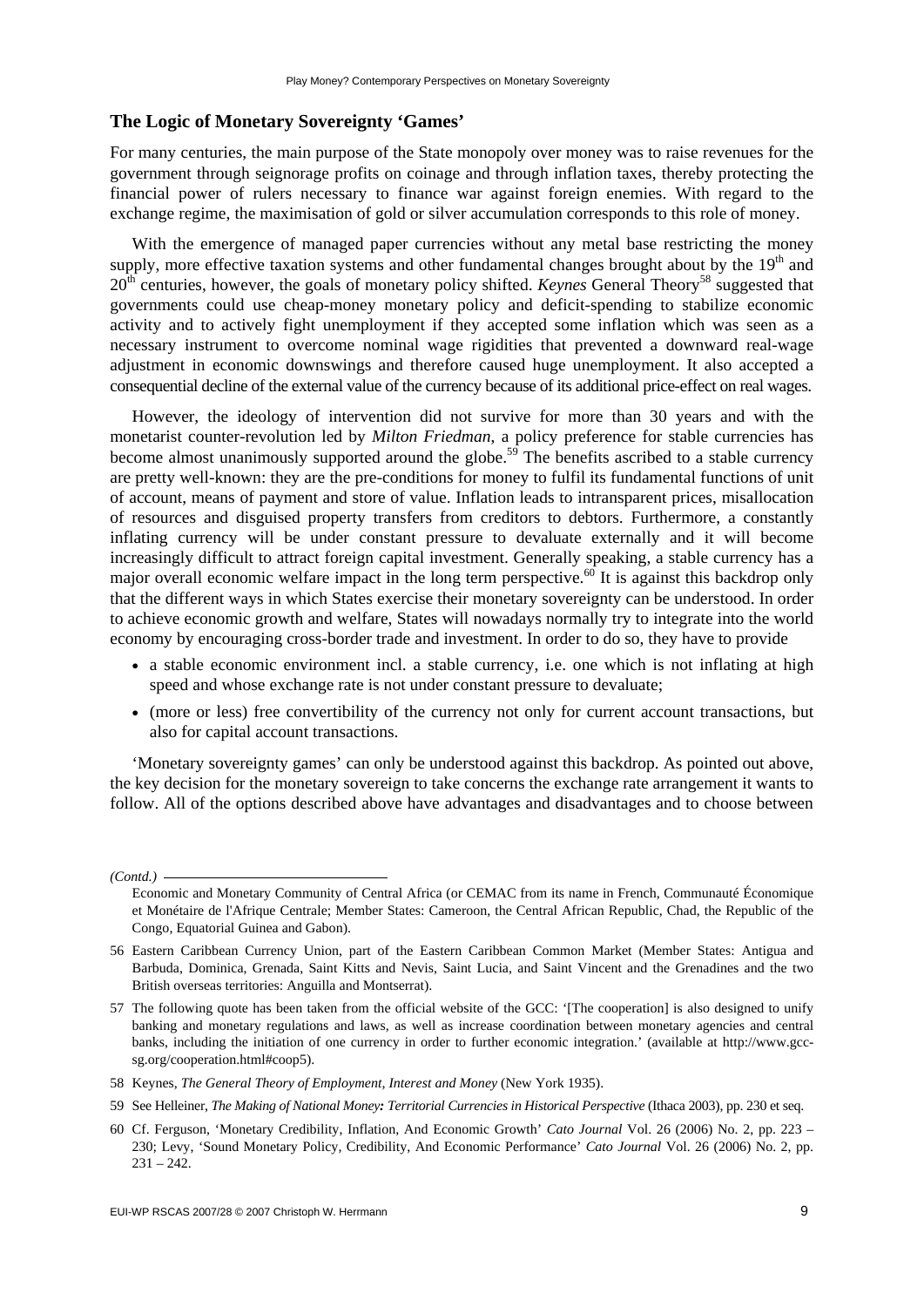## **The Logic of Monetary Sovereignty 'Games'**

For many centuries, the main purpose of the State monopoly over money was to raise revenues for the government through seignorage profits on coinage and through inflation taxes, thereby protecting the financial power of rulers necessary to finance war against foreign enemies. With regard to the exchange regime, the maximisation of gold or silver accumulation corresponds to this role of money.

With the emergence of managed paper currencies without any metal base restricting the money supply, more effective taxation systems and other fundamental changes brought about by the  $19<sup>th</sup>$  and 20<sup>th</sup> centuries, however, the goals of monetary policy shifted. *Keynes* General Theory<sup>58</sup> suggested that governments could use cheap-money monetary policy and deficit-spending to stabilize economic activity and to actively fight unemployment if they accepted some inflation which was seen as a necessary instrument to overcome nominal wage rigidities that prevented a downward real-wage adjustment in economic downswings and therefore caused huge unemployment. It also accepted a consequential decline of the external value of the currency because of its additional price-effect on real wages.

However, the ideology of intervention did not survive for more than 30 years and with the monetarist counter-revolution led by *Milton Friedman*, a policy preference for stable currencies has become almost unanimously supported around the globe.<sup>59</sup> The benefits ascribed to a stable currency are pretty well-known: they are the pre-conditions for money to fulfil its fundamental functions of unit of account, means of payment and store of value. Inflation leads to intransparent prices, misallocation of resources and disguised property transfers from creditors to debtors. Furthermore, a constantly inflating currency will be under constant pressure to devaluate externally and it will become increasingly difficult to attract foreign capital investment. Generally speaking, a stable currency has a major overall economic welfare impact in the long term perspective.<sup>60</sup> It is against this backdrop only that the different ways in which States exercise their monetary sovereignty can be understood. In order to achieve economic growth and welfare, States will nowadays normally try to integrate into the world economy by encouraging cross-border trade and investment. In order to do so, they have to provide

- a stable economic environment incl. a stable currency, i.e. one which is not inflating at high speed and whose exchange rate is not under constant pressure to devaluate;
- (more or less) free convertibility of the currency not only for current account transactions, but also for capital account transactions.

'Monetary sovereignty games' can only be understood against this backdrop. As pointed out above, the key decision for the monetary sovereign to take concerns the exchange rate arrangement it wants to follow. All of the options described above have advantages and disadvantages and to choose between

*<sup>(</sup>Contd.)* 

Economic and Monetary Community of Central Africa (or CEMAC from its name in French, Communauté Économique et Monétaire de l'Afrique Centrale; Member States: Cameroon, the Central African Republic, Chad, the Republic of the Congo, Equatorial Guinea and Gabon).

<sup>56</sup> Eastern Caribbean Currency Union, part of the Eastern Caribbean Common Market (Member States: Antigua and Barbuda, Dominica, Grenada, Saint Kitts and Nevis, Saint Lucia, and Saint Vincent and the Grenadines and the two British overseas territories: Anguilla and Montserrat).

<sup>57</sup> The following quote has been taken from the official website of the GCC: '[The cooperation] is also designed to unify banking and monetary regulations and laws, as well as increase coordination between monetary agencies and central [banks, including the initiation of one currency in order to further economic integration.' \(available at http://www.gcc](http://www.gcc-sg.org/cooperation.html#coop5)sg[.org/cooperation.html#coop5\).](http://www.gcc-sg.org/cooperation.html#coop5) 

<sup>58</sup> Keynes, *The General Theory of Employment, Interest and Money* (New York 1935).

<sup>59</sup> See Helleiner, *The Making of National Money: Territorial Currencies in Historical Perspective* (Ithaca 2003), pp. 230 et seq.

<sup>60</sup> Cf. Ferguson, 'Monetary Credibility, Inflation, And Economic Growth' *Cato Journal* Vol. 26 (2006) No. 2, pp. 223 – 230; Levy, 'Sound Monetary Policy, Credibility, And Economic Performance' *Cato Journal* Vol. 26 (2006) No. 2, pp.  $231 - 242.$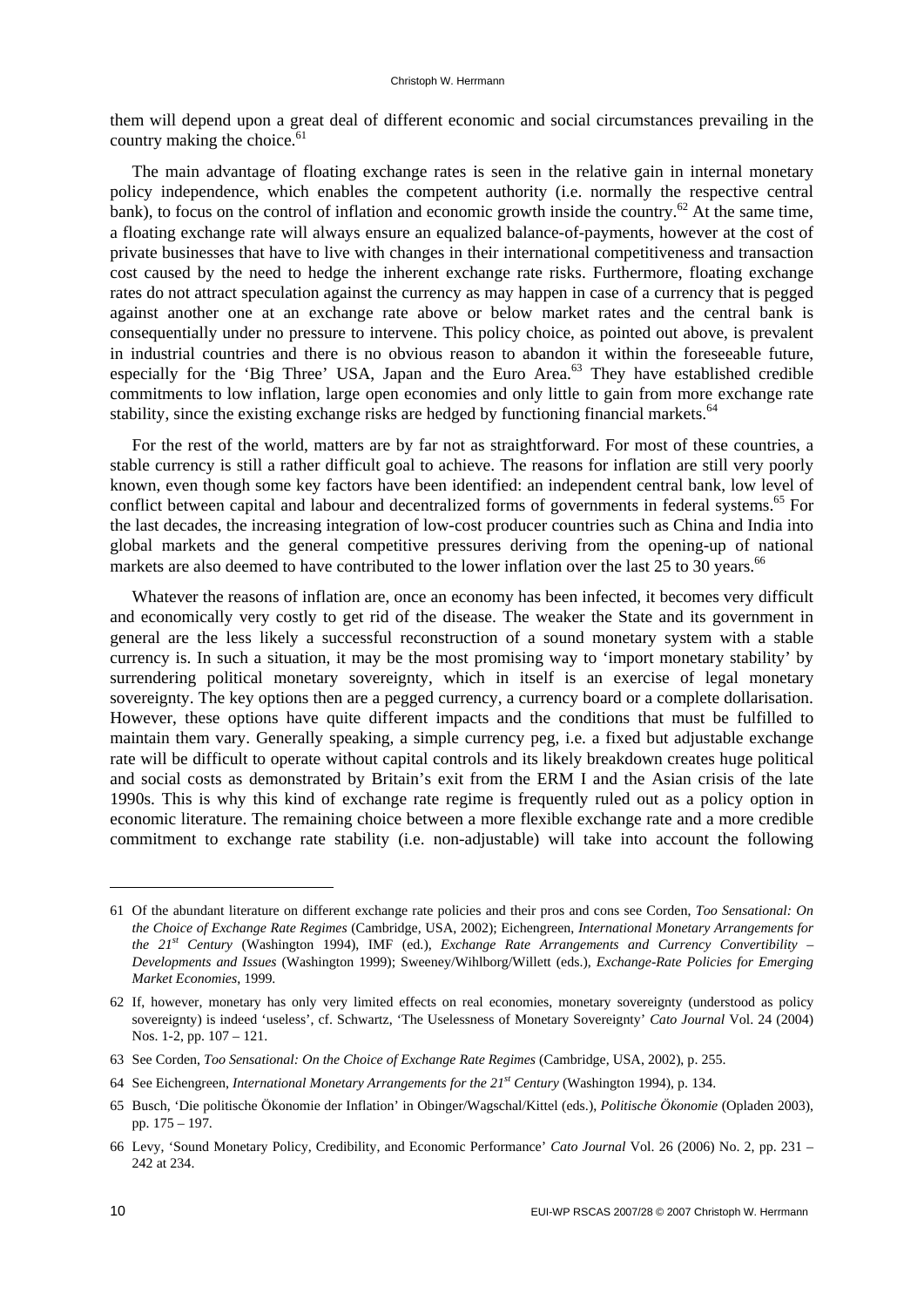them will depend upon a great deal of different economic and social circumstances prevailing in the country making the choice. $61$ 

The main advantage of floating exchange rates is seen in the relative gain in internal monetary policy independence, which enables the competent authority (i.e. normally the respective central bank), to focus on the control of inflation and economic growth inside the country.<sup>62</sup> At the same time, a floating exchange rate will always ensure an equalized balance-of-payments, however at the cost of private businesses that have to live with changes in their international competitiveness and transaction cost caused by the need to hedge the inherent exchange rate risks. Furthermore, floating exchange rates do not attract speculation against the currency as may happen in case of a currency that is pegged against another one at an exchange rate above or below market rates and the central bank is consequentially under no pressure to intervene. This policy choice, as pointed out above, is prevalent in industrial countries and there is no obvious reason to abandon it within the foreseeable future, especially for the 'Big Three' USA, Japan and the Euro Area.<sup>63</sup> They have established credible commitments to low inflation, large open economies and only little to gain from more exchange rate stability, since the existing exchange risks are hedged by functioning financial markets.<sup>64</sup>

For the rest of the world, matters are by far not as straightforward. For most of these countries, a stable currency is still a rather difficult goal to achieve. The reasons for inflation are still very poorly known, even though some key factors have been identified: an independent central bank, low level of conflict between capital and labour and decentralized forms of governments in federal systems.<sup>65</sup> For the last decades, the increasing integration of low-cost producer countries such as China and India into global markets and the general competitive pressures deriving from the opening-up of national markets are also deemed to have contributed to the lower inflation over the last 25 to 30 years.<sup>66</sup>

Whatever the reasons of inflation are, once an economy has been infected, it becomes very difficult and economically very costly to get rid of the disease. The weaker the State and its government in general are the less likely a successful reconstruction of a sound monetary system with a stable currency is. In such a situation, it may be the most promising way to 'import monetary stability' by surrendering political monetary sovereignty, which in itself is an exercise of legal monetary sovereignty. The key options then are a pegged currency, a currency board or a complete dollarisation. However, these options have quite different impacts and the conditions that must be fulfilled to maintain them vary. Generally speaking, a simple currency peg, i.e. a fixed but adjustable exchange rate will be difficult to operate without capital controls and its likely breakdown creates huge political and social costs as demonstrated by Britain's exit from the ERM I and the Asian crisis of the late 1990s. This is why this kind of exchange rate regime is frequently ruled out as a policy option in economic literature. The remaining choice between a more flexible exchange rate and a more credible commitment to exchange rate stability (i.e. non-adjustable) will take into account the following

<sup>61</sup> Of the abundant literature on different exchange rate policies and their pros and cons see Corden, *Too Sensational: On the Choice of Exchange Rate Regimes* (Cambridge, USA, 2002); Eichengreen, *International Monetary Arrangements for the 21st Century* (Washington 1994), IMF (ed.), *Exchange Rate Arrangements and Currency Convertibility – Developments and Issues* (Washington 1999); Sweeney/Wihlborg/Willett (eds.), *Exchange-Rate Policies for Emerging Market Economies*, 1999.

<sup>62</sup> If, however, monetary has only very limited effects on real economies, monetary sovereignty (understood as policy sovereignty) is indeed 'useless', cf. Schwartz, 'The Uselessness of Monetary Sovereignty' *Cato Journal* Vol. 24 (2004) Nos. 1-2, pp. 107 – 121.

<sup>63</sup> See Corden, *Too Sensational: On the Choice of Exchange Rate Regimes* (Cambridge, USA, 2002), p. 255.

<sup>64</sup> See Eichengreen, *International Monetary Arrangements for the 21st Century* (Washington 1994), p. 134.

<sup>65</sup> Busch, 'Die politische Ökonomie der Inflation' in Obinger/Wagschal/Kittel (eds.), *Politische Ökonomie* (Opladen 2003), pp. 175 – 197.

<sup>66</sup> Levy, 'Sound Monetary Policy, Credibility, and Economic Performance' *Cato Journal* Vol. 26 (2006) No. 2, pp. 231 – 242 at 234.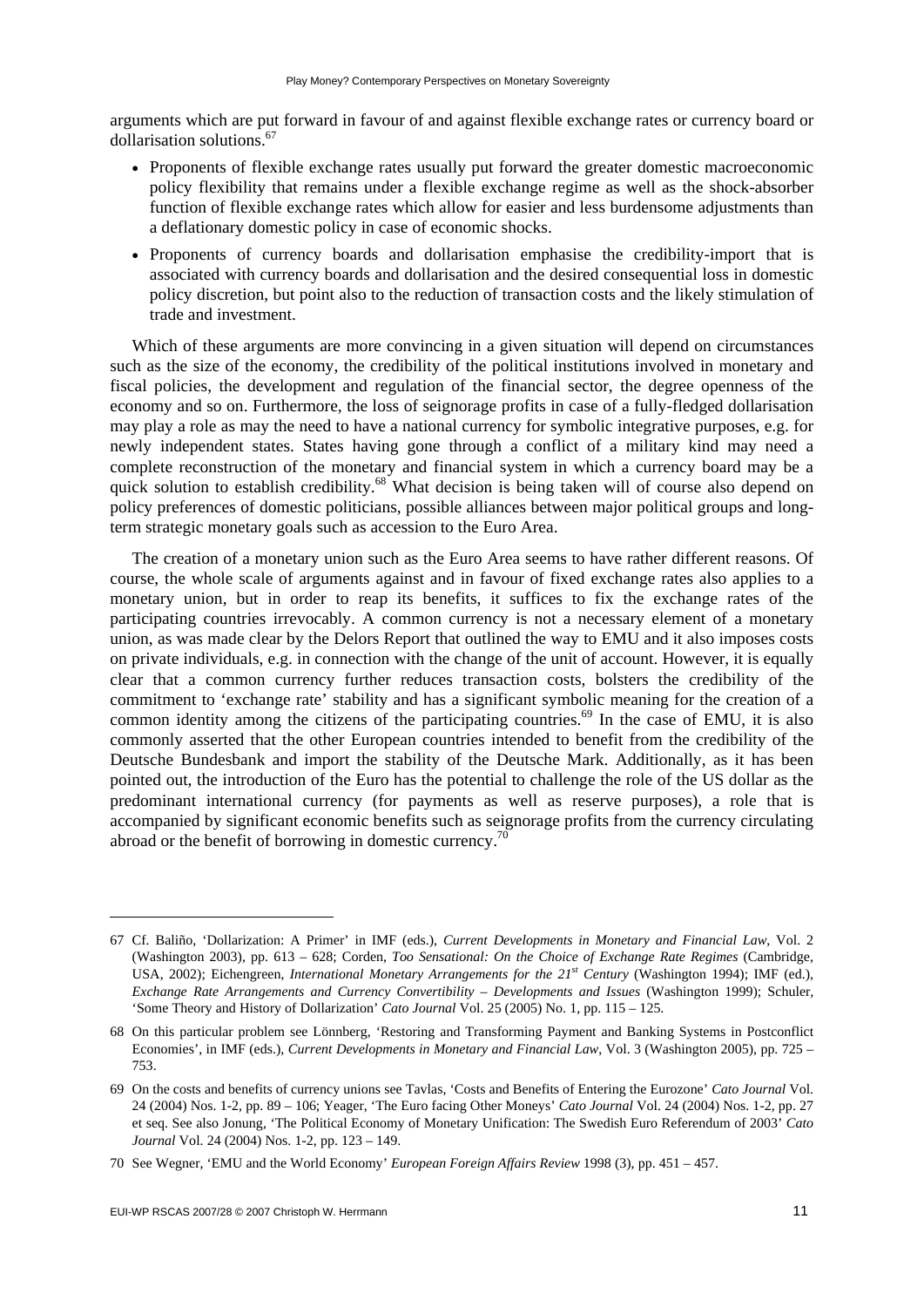arguments which are put forward in favour of and against flexible exchange rates or currency board or dollarisation solutions.67

- Proponents of flexible exchange rates usually put forward the greater domestic macroeconomic policy flexibility that remains under a flexible exchange regime as well as the shock-absorber function of flexible exchange rates which allow for easier and less burdensome adjustments than a deflationary domestic policy in case of economic shocks.
- Proponents of currency boards and dollarisation emphasise the credibility-import that is associated with currency boards and dollarisation and the desired consequential loss in domestic policy discretion, but point also to the reduction of transaction costs and the likely stimulation of trade and investment.

Which of these arguments are more convincing in a given situation will depend on circumstances such as the size of the economy, the credibility of the political institutions involved in monetary and fiscal policies, the development and regulation of the financial sector, the degree openness of the economy and so on. Furthermore, the loss of seignorage profits in case of a fully-fledged dollarisation may play a role as may the need to have a national currency for symbolic integrative purposes, e.g. for newly independent states. States having gone through a conflict of a military kind may need a complete reconstruction of the monetary and financial system in which a currency board may be a quick solution to establish credibility.<sup>68</sup> What decision is being taken will of course also depend on policy preferences of domestic politicians, possible alliances between major political groups and longterm strategic monetary goals such as accession to the Euro Area.

The creation of a monetary union such as the Euro Area seems to have rather different reasons. Of course, the whole scale of arguments against and in favour of fixed exchange rates also applies to a monetary union, but in order to reap its benefits, it suffices to fix the exchange rates of the participating countries irrevocably. A common currency is not a necessary element of a monetary union, as was made clear by the Delors Report that outlined the way to EMU and it also imposes costs on private individuals, e.g. in connection with the change of the unit of account. However, it is equally clear that a common currency further reduces transaction costs, bolsters the credibility of the commitment to 'exchange rate' stability and has a significant symbolic meaning for the creation of a common identity among the citizens of the participating countries.<sup>69</sup> In the case of EMU, it is also commonly asserted that the other European countries intended to benefit from the credibility of the Deutsche Bundesbank and import the stability of the Deutsche Mark. Additionally, as it has been pointed out, the introduction of the Euro has the potential to challenge the role of the US dollar as the predominant international currency (for payments as well as reserve purposes), a role that is accompanied by significant economic benefits such as seignorage profits from the currency circulating abroad or the benefit of borrowing in domestic currency.70

<sup>67</sup> Cf. Baliño, 'Dollarization: A Primer' in IMF (eds.), *Current Developments in Monetary and Financial Law*, Vol. 2 (Washington 2003), pp. 613 – 628; Corden, *Too Sensational: On the Choice of Exchange Rate Regimes* (Cambridge, USA, 2002); Eichengreen, *International Monetary Arrangements for the 21<sup><i>st*</sup> Century</sup> (Washington 1994); IMF (ed.), *Exchange Rate Arrangements and Currency Convertibility – Developments and Issues* (Washington 1999); Schuler, 'Some Theory and History of Dollarization' *Cato Journal* Vol. 25 (2005) No. 1, pp. 115 – 125.

<sup>68</sup> On this particular problem see Lönnberg, 'Restoring and Transforming Payment and Banking Systems in Postconflict Economies', in IMF (eds.), *Current Developments in Monetary and Financial Law*, Vol. 3 (Washington 2005), pp. 725 – 753.

<sup>69</sup> On the costs and benefits of currency unions see Tavlas, 'Costs and Benefits of Entering the Eurozone' *Cato Journal* Vol. 24 (2004) Nos. 1-2, pp. 89 – 106; Yeager, 'The Euro facing Other Moneys' *Cato Journal* Vol. 24 (2004) Nos. 1-2, pp. 27 et seq. See also Jonung, 'The Political Economy of Monetary Unification: The Swedish Euro Referendum of 2003' *Cato Journal* Vol. 24 (2004) Nos. 1-2, pp. 123 – 149.

<sup>70</sup> See Wegner, 'EMU and the World Economy' *European Foreign Affairs Review* 1998 (3), pp. 451 – 457.